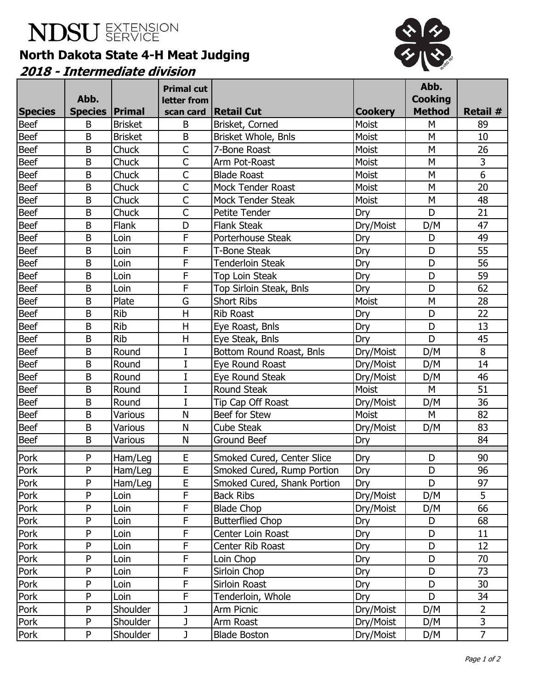# **NDSU** *EXTENSION*

### **North Dakota State 4-H Meat Judging**

#### **2018 - Intermediate division**



|                |                |                | <b>Primal cut</b>       |                             |                | Abb.           |                 |
|----------------|----------------|----------------|-------------------------|-----------------------------|----------------|----------------|-----------------|
|                | Abb.           |                | letter from             |                             |                | <b>Cooking</b> |                 |
| <b>Species</b> | <b>Species</b> | <b>Primal</b>  | scan card               | Retail Cut                  | <b>Cookery</b> | <b>Method</b>  | <b>Retail #</b> |
| <b>Beef</b>    | B              | <b>Brisket</b> | B                       | Brisket, Corned             | Moist          | M              | 89              |
| <b>Beef</b>    | B              | Brisket        | B                       | Brisket Whole, Bnls         | Moist          | M              | 10              |
| <b>Beef</b>    | $\mathsf B$    | Chuck          | $\mathsf C$             | 7-Bone Roast                | Moist          | M              | 26              |
| <b>Beef</b>    | $\mathsf B$    | Chuck          | $\mathsf{C}$            | Arm Pot-Roast               | Moist          | M              | 3               |
| <b>Beef</b>    | $\sf B$        | Chuck          | $\mathsf C$             | <b>Blade Roast</b>          | Moist          | M              | 6               |
| <b>Beef</b>    | B              | Chuck          | $\overline{\mathsf{C}}$ | <b>Mock Tender Roast</b>    | Moist          | M              | 20              |
| <b>Beef</b>    | B              | Chuck          | $\mathsf{C}$            | <b>Mock Tender Steak</b>    | Moist          | M              | 48              |
| <b>Beef</b>    | B              | Chuck          | $\overline{C}$          | <b>Petite Tender</b>        | Dry            | D              | 21              |
| <b>Beef</b>    | $\mathsf B$    | <b>Flank</b>   | D                       | <b>Flank Steak</b>          | Dry/Moist      | D/M            | 47              |
| <b>Beef</b>    | B              | Loin           | F                       | Porterhouse Steak           | Dry            | D              | 49              |
| <b>Beef</b>    | B              | Loin           | F                       | <b>T-Bone Steak</b>         | Dry            | D              | 55              |
| <b>Beef</b>    | B              | Loin           | F                       | <b>Tenderloin Steak</b>     | Dry            | D              | 56              |
| <b>Beef</b>    | B              | Loin           | F                       | Top Loin Steak              | Dry            | D              | 59              |
| <b>Beef</b>    | B              | Loin           | F                       | Top Sirloin Steak, Bnls     | Dry            | D              | 62              |
| <b>Beef</b>    | B              | Plate          | G                       | <b>Short Ribs</b>           | Moist          | M              | 28              |
| <b>Beef</b>    | $\mathsf B$    | Rib            | H                       | Rib Roast                   | Dry            | D              | 22              |
| <b>Beef</b>    | B              | <b>Rib</b>     | H                       | Eye Roast, Bnls             | Dry            | D              | 13              |
| Beef           | B              | <b>Rib</b>     | H                       | Eye Steak, Bnls             | Dry            | D              | 45              |
| <b>Beef</b>    | B              | Round          | I                       | Bottom Round Roast, Bnls    | Dry/Moist      | D/M            | 8               |
| <b>Beef</b>    | B              | Round          | I                       | Eye Round Roast             | Dry/Moist      | D/M            | 14              |
| <b>Beef</b>    | B              | Round          | I                       | Eye Round Steak             | Dry/Moist      | D/M            | 46              |
| <b>Beef</b>    | $\mathsf B$    | Round          | I                       | Round Steak                 | Moist          | M              | 51              |
| <b>Beef</b>    | $\mathsf B$    | Round          | I                       | Tip Cap Off Roast           | Dry/Moist      | D/M            | 36              |
| <b>Beef</b>    | $\mathsf B$    | Various        | $\mathsf{N}$            | Beef for Stew               | Moist          | M              | 82              |
| <b>Beef</b>    | B              | Various        | N                       | <b>Cube Steak</b>           | Dry/Moist      | D/M            | 83              |
| <b>Beef</b>    | B              | Various        | N                       | <b>Ground Beef</b>          | Dry            |                | 84              |
| Pork           | ${\sf P}$      | Ham/Leg        | E                       | Smoked Cured, Center Slice  | Dry            | D              | 90              |
| Pork           | P              | Ham/Leg        | $\overline{E}$          | Smoked Cured, Rump Portion  | Dry            | D              | 96              |
| Pork           | P              | Ham/Leg        | E                       | Smoked Cured, Shank Portion | Dry            | D              | 97              |
| Pork           | P              | Loin           | F                       | <b>Back Ribs</b>            | Dry/Moist      | D/M            | 5               |
| Pork           | ${\sf P}$      | Loin           | F                       | <b>Blade Chop</b>           | Dry/Moist      | D/M            | 66              |
| Pork           | P              | Loin           | F                       | <b>Butterflied Chop</b>     | Dry            | D              | 68              |
| Pork           | ${\sf P}$      | Loin           | F                       | Center Loin Roast           | Dry            | D              | 11              |
| Pork           | ${\sf P}$      | Loin           | F                       | Center Rib Roast            | Dry            | D              | 12              |
| Pork           | P              | Loin           | F                       | Loin Chop                   | Dry            | D              | 70              |
| Pork           | P              | Loin           | F                       | Sirloin Chop                | Dry            | D              | 73              |
| Pork           | P              | Loin           | F                       | Sirloin Roast               | Dry            | D              | 30              |
| Pork           | ${\sf P}$      | Loin           | F                       | Tenderloin, Whole           | Dry            | D              | 34              |
| Pork           | P              | Shoulder       | J                       | Arm Picnic                  | Dry/Moist      | D/M            | $\overline{2}$  |
| Pork           | ${\sf P}$      | Shoulder       | J                       | Arm Roast                   | Dry/Moist      | D/M            | $\overline{3}$  |
| Pork           | P              | Shoulder       | J                       | <b>Blade Boston</b>         | Dry/Moist      | D/M            | $\overline{7}$  |